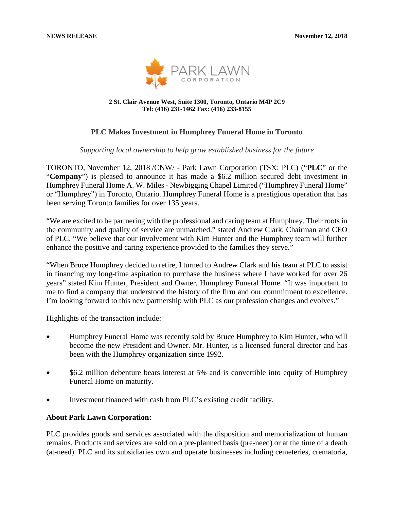

#### **2 St. Clair Avenue West, Suite 1300, Toronto, Ontario M4P 2C9 Tel: (416) 231-1462 Fax: (416) 233-8155**

## **PLC Makes Investment in Humphrey Funeral Home in Toronto**

*Supporting local ownership to help grow established business for the future*

TORONTO, November 12, 2018 /CNW/ - Park Lawn Corporation (TSX: PLC) ("**PLC**" or the "**Company**") is pleased to announce it has made a \$6.2 million secured debt investment in Humphrey Funeral Home A. W. Miles - Newbigging Chapel Limited ("Humphrey Funeral Home" or "Humphrey") in Toronto, Ontario. Humphrey Funeral Home is a prestigious operation that has been serving Toronto families for over 135 years.

"We are excited to be partnering with the professional and caring team at Humphrey. Their roots in the community and quality of service are unmatched." stated Andrew Clark, Chairman and CEO of PLC. "We believe that our involvement with Kim Hunter and the Humphrey team will further enhance the positive and caring experience provided to the families they serve."

"When Bruce Humphrey decided to retire, I turned to Andrew Clark and his team at PLC to assist in financing my long-time aspiration to purchase the business where I have worked for over 26 years" stated Kim Hunter, President and Owner, Humphrey Funeral Home. "It was important to me to find a company that understood the history of the firm and our commitment to excellence. I'm looking forward to this new partnership with PLC as our profession changes and evolves."

Highlights of the transaction include:

- Humphrey Funeral Home was recently sold by Bruce Humphrey to Kim Hunter, who will become the new President and Owner. Mr. Hunter, is a licensed funeral director and has been with the Humphrey organization since 1992.
- \$6.2 million debenture bears interest at 5% and is convertible into equity of Humphrey Funeral Home on maturity.
- Investment financed with cash from PLC's existing credit facility.

### **About Park Lawn Corporation:**

PLC provides goods and services associated with the disposition and memorialization of human remains. Products and services are sold on a pre-planned basis (pre-need) or at the time of a death (at-need). PLC and its subsidiaries own and operate businesses including cemeteries, crematoria,